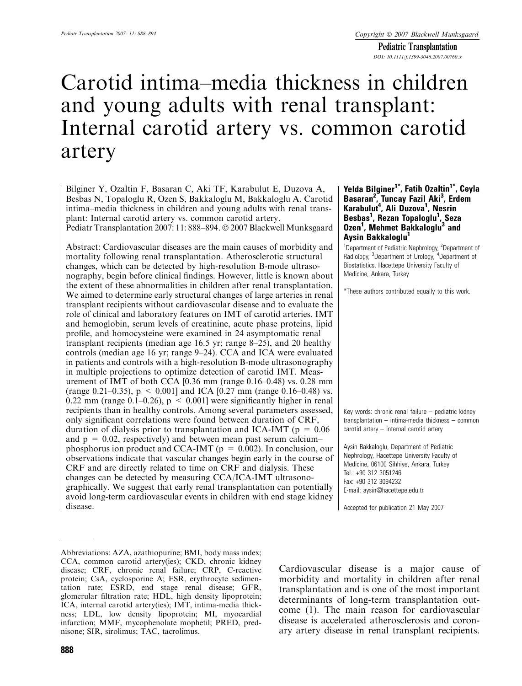Pediatric Transplantation DOI: 10.1111/j.1399-3046.2007.00760.x

# Carotid intima–media thickness in children and young adults with renal transplant: Internal carotid artery vs. common carotid artery

Bilginer Y, Ozaltin F, Basaran C, Aki TF, Karabulut E, Duzova A, Besbas N, Topaloglu R, Ozen S, Bakkaloglu M, Bakkaloglu A. Carotid intima–media thickness in children and young adults with renal transplant: Internal carotid artery vs. common carotid artery.

Pediatr Transplantation 2007: 11: 888–894. © 2007 Blackwell Munksgaard

Abstract: Cardiovascular diseases are the main causes of morbidity and mortality following renal transplantation. Atherosclerotic structural changes, which can be detected by high-resolution B-mode ultrasonography, begin before clinical findings. However, little is known about the extent of these abnormalities in children after renal transplantation. We aimed to determine early structural changes of large arteries in renal transplant recipients without cardiovascular disease and to evaluate the role of clinical and laboratory features on IMT of carotid arteries. IMT and hemoglobin, serum levels of creatinine, acute phase proteins, lipid profile, and homocysteine were examined in 24 asymptomatic renal transplant recipients (median age 16.5 yr; range 8–25), and 20 healthy controls (median age 16 yr; range 9–24). CCA and ICA were evaluated in patients and controls with a high-resolution B-mode ultrasonography in multiple projections to optimize detection of carotid IMT. Measurement of IMT of both CCA [0.36 mm (range 0.16–0.48) vs. 0.28 mm (range 0.21–0.35),  $p < 0.001$ ] and ICA [0.27 mm (range 0.16–0.48) vs. 0.22 mm (range 0.1–0.26),  $p \le 0.001$ ] were significantly higher in renal recipients than in healthy controls. Among several parameters assessed, only significant correlations were found between duration of CRF, duration of dialysis prior to transplantation and ICA-IMT ( $p = 0.06$ ) and  $p = 0.02$ , respectively) and between mean past serum calcium– phosphorus ion product and CCA-IMT ( $p = 0.002$ ). In conclusion, our observations indicate that vascular changes begin early in the course of CRF and are directly related to time on CRF and dialysis. These changes can be detected by measuring CCA/ICA-IMT ultrasonographically. We suggest that early renal transplantation can potentially avoid long-term cardiovascular events in children with end stage kidney disease.

Yelda Bilginer<sup>1\*</sup>, Fatih Ozaltin<sup>1\*</sup>, Ceyla Basaran<sup>2</sup>, Tuncay Fazil Aki<sup>3</sup>, Erdem Karabulut<sup>4</sup>, Ali Duzova<sup>1</sup>, Nesrin Besbas<sup>1</sup>, Rezan Topaloglu<sup>1</sup>, Seza Ozen<sup>1</sup>, Mehmet Bakkaloglu<sup>3</sup> and Aysin Bakkaloglu<sup>1</sup>

<sup>1</sup>Department of Pediatric Nephrology, <sup>2</sup>Department of Radiology, <sup>3</sup>Department of Urology, <sup>4</sup>Department of Biostatistics, Hacettepe University Faculty of Medicine, Ankara, Turkey

\*These authors contributed equally to this work.

Key words: chronic renal failure – pediatric kidney transplantation – intima-media thickness – common carotid artery – internal carotid artery

Aysin Bakkaloglu, Department of Pediatric Nephrology, Hacettepe University Faculty of Medicine, 06100 Sihhiye, Ankara, Turkey Tel.: +90 312 3051246 Fax: +90 312 3094232 E-mail: aysin@hacettepe.edu.tr

Accepted for publication 21 May 2007

Cardiovascular disease is a major cause of morbidity and mortality in children after renal transplantation and is one of the most important determinants of long-term transplantation outcome (1). The main reason for cardiovascular disease is accelerated atherosclerosis and coronary artery disease in renal transplant recipients.

Abbreviations: AZA, azathiopurine; BMI, body mass index; CCA, common carotid artery(ies); CKD, chronic kidney disease; CRF, chronic renal failure; CRP, C-reactive protein; CsA, cyclosporine A; ESR, erythrocyte sedimentation rate; ESRD, end stage renal disease; GFR, glomerular filtration rate; HDL, high density lipoprotein; ICA, internal carotid artery(ies); IMT, intima-media thickness; LDL, low density lipoprotein; MI, myocardial infarction; MMF, mycophenolate mophetil; PRED, prednisone; SIR, sirolimus; TAC, tacrolimus.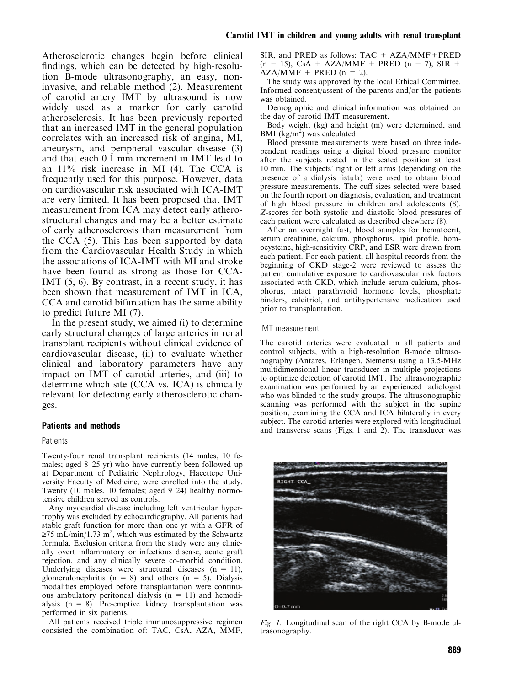Atherosclerotic changes begin before clinical findings, which can be detected by high-resolution B-mode ultrasonography, an easy, noninvasive, and reliable method (2). Measurement of carotid artery IMT by ultrasound is now widely used as a marker for early carotid atherosclerosis. It has been previously reported that an increased IMT in the general population correlates with an increased risk of angina, MI, aneurysm, and peripheral vascular disease (3) and that each 0.1 mm increment in IMT lead to an 11% risk increase in MI (4). The CCA is frequently used for this purpose. However, data on cardiovascular risk associated with ICA-IMT are very limited. It has been proposed that IMT measurement from ICA may detect early atherostructural changes and may be a better estimate of early atherosclerosis than measurement from the CCA (5). This has been supported by data from the Cardiovascular Health Study in which the associations of ICA-IMT with MI and stroke have been found as strong as those for CCA-IMT (5, 6). By contrast, in a recent study, it has been shown that measurement of IMT in ICA, CCA and carotid bifurcation has the same ability to predict future MI (7).

In the present study, we aimed (i) to determine early structural changes of large arteries in renal transplant recipients without clinical evidence of cardiovascular disease, (ii) to evaluate whether clinical and laboratory parameters have any impact on IMT of carotid arteries, and (iii) to determine which site (CCA vs. ICA) is clinically relevant for detecting early atherosclerotic changes.

#### Patients and methods

#### Patients

Twenty-four renal transplant recipients (14 males, 10 females; aged 8–25 yr) who have currently been followed up at Department of Pediatric Nephrology, Hacettepe University Faculty of Medicine, were enrolled into the study. Twenty (10 males, 10 females; aged 9–24) healthy normotensive children served as controls.

Any myocardial disease including left ventricular hypertrophy was excluded by echocardiography. All patients had stable graft function for more than one yr with a GFR of  $\geq$ 75 mL/min/1.73 m<sup>2</sup>, which was estimated by the Schwartz formula. Exclusion criteria from the study were any clinically overt inflammatory or infectious disease, acute graft rejection, and any clinically severe co-morbid condition. Underlying diseases were structural diseases  $(n = 11)$ , glomerulonephritis ( $n = 8$ ) and others ( $n = 5$ ). Dialysis modalities employed before transplantation were continuous ambulatory peritoneal dialysis  $(n = 11)$  and hemodialysis ( $n = 8$ ). Pre-emptive kidney transplantation was performed in six patients.

All patients received triple immunosuppressive regimen consisted the combination of: TAC, CsA, AZA, MMF, SIR, and PRED as follows:  $TAC + AZA/MMF + PRED$  $(n = 15)$ , CsA + AZA/MMF + PRED  $(n = 7)$ , SIR +  $AZA/MMF + PRED (n = 2)$ .

The study was approved by the local Ethical Committee. Informed consent/assent of the parents and/or the patients was obtained.

Demographic and clinical information was obtained on the day of carotid IMT measurement.

Body weight (kg) and height (m) were determined, and BMI  $(kg/m<sup>2</sup>)$  was calculated.

Blood pressure measurements were based on three independent readings using a digital blood pressure monitor after the subjects rested in the seated position at least 10 min. The subjects' right or left arms (depending on the presence of a dialysis fistula) were used to obtain blood pressure measurements. The cuff sizes selected were based on the fourth report on diagnosis, evaluation, and treatment of high blood pressure in children and adolescents (8). Z-scores for both systolic and diastolic blood pressures of each patient were calculated as described elsewhere (8).

After an overnight fast, blood samples for hematocrit, serum creatinine, calcium, phosphorus, lipid profile, homocysteine, high-sensitivity CRP, and ESR were drawn from each patient. For each patient, all hospital records from the beginning of CKD stage-2 were reviewed to assess the patient cumulative exposure to cardiovascular risk factors associated with CKD, which include serum calcium, phosphorus, intact parathyroid hormone levels, phosphate binders, calcitriol, and antihypertensive medication used prior to transplantation.

#### IMT measurement

The carotid arteries were evaluated in all patients and control subjects, with a high-resolution B-mode ultrasonography (Antares, Erlangen, Siemens) using a 13.5-MHz multidimensional linear transducer in multiple projections to optimize detection of carotid IMT. The ultrasonographic examination was performed by an experienced radiologist who was blinded to the study groups. The ultrasonographic scanning was performed with the subject in the supine position, examining the CCA and ICA bilaterally in every subject. The carotid arteries were explored with longitudinal and transverse scans (Figs. 1 and 2). The transducer was



Fig. 1. Longitudinal scan of the right CCA by B-mode ultrasonography.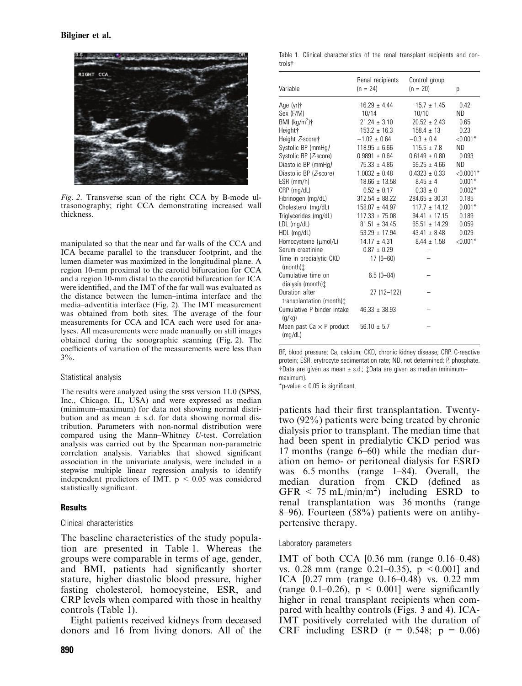

Fig. 2. Transverse scan of the right CCA by B-mode ultrasonography; right CCA demonstrating increased wall thickness.

manipulated so that the near and far walls of the CCA and ICA became parallel to the transducer footprint, and the lumen diameter was maximized in the longitudinal plane. A region 10-mm proximal to the carotid bifurcation for CCA and a region 10-mm distal to the carotid bifurcation for ICA were identified, and the IMT of the far wall was evaluated as the distance between the lumen–intima interface and the media–adventitia interface (Fig. 2). The IMT measurement was obtained from both sites. The average of the four measurements for CCA and ICA each were used for analyses. All measurements were made manually on still images obtained during the sonographic scanning (Fig. 2). The coefficients of variation of the measurements were less than  $3\%$ .

## Statistical analysis

The results were analyzed using the spss version 11.0 (SPSS, Inc., Chicago, IL, USA) and were expressed as median (minimum–maximum) for data not showing normal distribution and as mean  $\pm$  s.d. for data showing normal distribution. Parameters with non-normal distribution were compared using the Mann–Whitney U-test. Correlation analysis was carried out by the Spearman non-parametric correlation analysis. Variables that showed significant association in the univariate analysis, were included in a stepwise multiple linear regression analysis to identify independent predictors of IMT.  $p < 0.05$  was considered statistically significant.

## **Results**

## Clinical characteristics

The baseline characteristics of the study population are presented in Table 1. Whereas the groups were comparable in terms of age, gender, and BMI, patients had significantly shorter stature, higher diastolic blood pressure, higher fasting cholesterol, homocysteine, ESR, and CRP levels when compared with those in healthy controls (Table 1).

Eight patients received kidneys from deceased donors and 16 from living donors. All of the

Table 1. Clinical characteristics of the renal transplant recipients and controls

| Variable                                   | Renal recipients<br>$(n = 24)$ | Control group<br>$(n = 20)$ | р                 |
|--------------------------------------------|--------------------------------|-----------------------------|-------------------|
|                                            |                                |                             |                   |
| Age (yr)†<br>Sex (F/M)                     | $16.29 + 4.44$<br>10/14        | $15.7 \pm 1.45$<br>10/10    | 0.42<br><b>ND</b> |
| BMI (kg/m <sup>2</sup> )†                  | $21.24 \pm 3.10$               | $20.52 \pm 2.43$            | 0.65              |
| Height†                                    | $153.2 \pm 16.3$               | $158.4 \pm 13$              | 0.23              |
| Height Z-score+                            | $-1.02 \pm 0.64$               | $-0.3 \pm 0.4$              | $< 0.001*$        |
| Systolic BP (mmHq)                         | $118.95 \pm 6.66$              | $115.5 + 7.8$               | ND.               |
| Systolic BP (Z-score)                      | $0.9891 \pm 0.64$              | $0.6149 \pm 0.80$           | 0.093             |
| Diastolic BP (mmHq)                        | $75.33 \pm 4.86$               | $69.25 \pm 4.66$            | <b>ND</b>         |
| Diastolic BP (Z-score)                     | $1.0032 \pm 0.48$              | $0.4323 \pm 0.33$           | $< 0.0001*$       |
| ESR (mm/h)                                 | $18.66 \pm 13.58$              | $8.45 \pm 4$                | $0.001*$          |
| CRP (mg/dL)                                | $0.52 + 0.17$                  | $0.38 \pm 0$                | $0.002*$          |
| Fibrinogen (mg/dL)                         | $312.54 \pm 88.22$             | $284.65 \pm 30.31$          | 0.185             |
| Cholesterol (mg/dL)                        | $158.87 \pm 44.97$             | $117.7 \pm 14.12$           | $0.001*$          |
| Triglycerides (mg/dL)                      | $117.33 \pm 75.08$             | $94.41 \pm 17.15$           | 0.189             |
| LDL (mg/dL)                                | $81.51 \pm 34.45$              | $65.51 \pm 14.29$           | 0.059             |
| HDL (mg/dL)                                | $53.29 \pm 17.94$              | $43.41 + 8.48$              | 0.029             |
| Homocysteine (µmol/L)                      | $14.17 \pm 4.31$               | $8.44 \pm 1.58$             | $< 0.001*$        |
| Serum creatinine                           | $0.87 \pm 0.29$                |                             |                   |
| Time in predialytic CKD<br>(month)±        | $17(6 - 60)$                   |                             |                   |
| Cumulative time on<br>dialysis (month):    | $6.5(0-84)$                    |                             |                   |
| Duration after                             | 27 (12-122)                    |                             |                   |
| transplantation (month):                   |                                |                             |                   |
| Cumulative P binder intake                 | $46.33 \pm 38.93$              |                             |                   |
| (q/kg)                                     |                                |                             |                   |
| Mean past $Ca \times P$ product<br>(mq/dL) | $56.10 \pm 5.7$                |                             |                   |

BP, blood pressure; Ca, calcium; CKD, chronic kidney disease; CRP, C-reactive protein; ESR, erytrocyte sedimentation rate; ND, not determined; P, phosphate.  $\dagger$ Data are given as mean  $\pm$  s.d.;  $\ddagger$ Data are given as median (minimummaximum).

 $*$ p-value < 0.05 is significant.

patients had their first transplantation. Twentytwo (92%) patients were being treated by chronic dialysis prior to transplant. The median time that had been spent in predialytic CKD period was 17 months (range 6–60) while the median duration on hemo- or peritoneal dialysis for ESRD was 6.5 months (range 1–84). Overall, the median duration from CKD (defined as  $GFR < 75 \text{ mL/min/m}^2$  including ESRD to renal transplantation was 36 months (range 8–96). Fourteen (58%) patients were on antihypertensive therapy.

## Laboratory parameters

IMT of both CCA [0.36 mm (range 0.16–0.48) vs. 0.28 mm (range 0.21–0.35),  $p \le 0.001$  and ICA [0.27 mm (range 0.16–0.48) vs. 0.22 mm (range 0.1–0.26),  $p \le 0.001$ ] were significantly higher in renal transplant recipients when compared with healthy controls (Figs. 3 and 4). ICA-IMT positively correlated with the duration of CRF including ESRD  $(r = 0.548; p = 0.06)$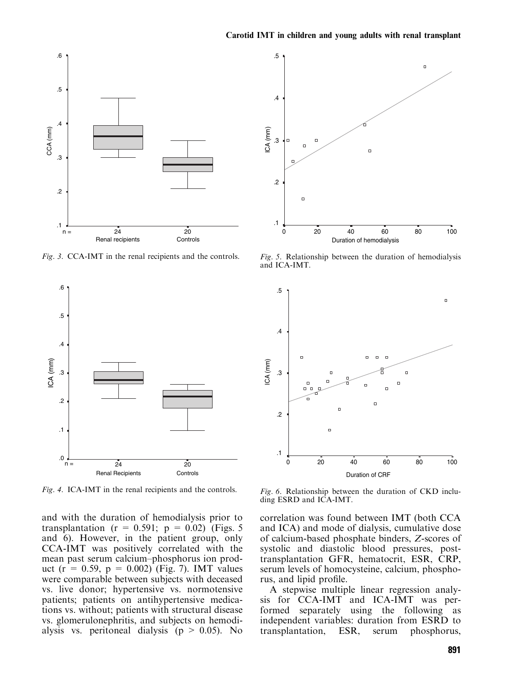

Fig. 3. CCA-IMT in the renal recipients and the controls.



Fig. 4. ICA-IMT in the renal recipients and the controls.

and with the duration of hemodialysis prior to transplantation ( $r = 0.591$ ;  $p = 0.02$ ) (Figs. 5) and 6). However, in the patient group, only CCA-IMT was positively correlated with the mean past serum calcium–phosphorus ion product ( $r = 0.59$ ,  $p = 0.002$ ) (Fig. 7). IMT values were comparable between subjects with deceased vs. live donor; hypertensive vs. normotensive patients; patients on antihypertensive medications vs. without; patients with structural disease vs. glomerulonephritis, and subjects on hemodialysis vs. peritoneal dialysis ( $p > 0.05$ ). No



Fig. 5. Relationship between the duration of hemodialysis and ICA-IMT.



Fig. 6. Relationship between the duration of CKD including ESRD and ICA-IMT.

correlation was found between IMT (both CCA and ICA) and mode of dialysis, cumulative dose of calcium-based phosphate binders, Z-scores of systolic and diastolic blood pressures, posttransplantation GFR, hematocrit, ESR, CRP, serum levels of homocysteine, calcium, phosphorus, and lipid profile.

A stepwise multiple linear regression analysis for CCA-IMT and ICA-IMT was performed separately using the following as independent variables: duration from ESRD to transplantation, ESR, serum phosphorus,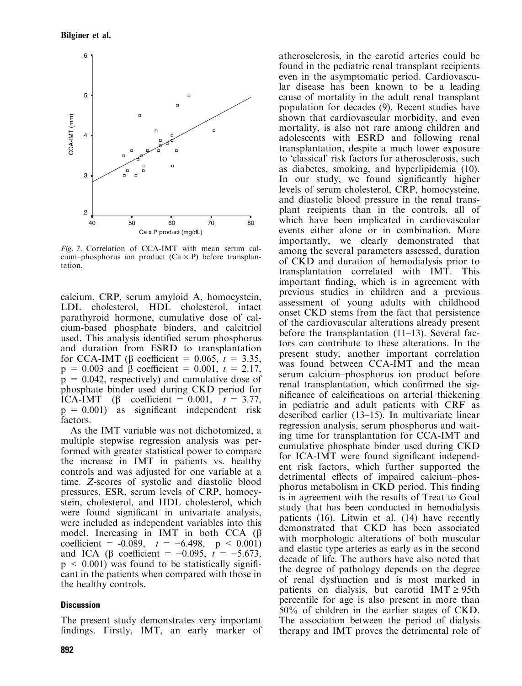

Fig. 7. Correlation of CCA-IMT with mean serum calcium–phosphorus ion product ( $Ca \times P$ ) before transplantation.

calcium, CRP, serum amyloid A, homocystein, LDL cholesterol, HDL cholesterol, intact parathyroid hormone, cumulative dose of calcium-based phosphate binders, and calcitriol used. This analysis identified serum phosphorus and duration from ESRD to transplantation for CCA-IMT ( $\beta$  coefficient = 0.065,  $t = 3.35$ ,  $p = 0.003$  and  $\beta$  coefficient = 0.001,  $t = 2.17$ ,  $p = 0.042$ , respectively) and cumulative dose of phosphate binder used during CKD period for ICA-IMT ( $\beta$  coefficient = 0.001,  $t = 3.77$ ,  $p = 0.001$ ) as significant independent risk factors.

As the IMT variable was not dichotomized, a multiple stepwise regression analysis was performed with greater statistical power to compare the increase in IMT in patients vs. healthy controls and was adjusted for one variable at a time. Z-scores of systolic and diastolic blood pressures, ESR, serum levels of CRP, homocystein, cholesterol, and HDL cholesterol, which were found significant in univariate analysis, were included as independent variables into this model. Increasing in IMT in both CCA  $(\beta)$ coefficient =  $-0.089$ ,  $t = -6.498$ ,  $p < 0.001$ ) and ICA ( $\beta$  coefficient = -0.095,  $t = -5.673$ ,  $p \leq 0.001$ ) was found to be statistically significant in the patients when compared with those in the healthy controls.

## **Discussion**

The present study demonstrates very important findings. Firstly, IMT, an early marker of atherosclerosis, in the carotid arteries could be found in the pediatric renal transplant recipients even in the asymptomatic period. Cardiovascular disease has been known to be a leading cause of mortality in the adult renal transplant population for decades (9). Recent studies have shown that cardiovascular morbidity, and even mortality, is also not rare among children and adolescents with ESRD and following renal transplantation, despite a much lower exposure to 'classical' risk factors for atherosclerosis, such as diabetes, smoking, and hyperlipidemia (10). In our study, we found significantly higher levels of serum cholesterol, CRP, homocysteine, and diastolic blood pressure in the renal transplant recipients than in the controls, all of which have been implicated in cardiovascular events either alone or in combination. More importantly, we clearly demonstrated that among the several parameters assessed, duration of CKD and duration of hemodialysis prior to transplantation correlated with IMT. This important finding, which is in agreement with previous studies in children and a previous assessment of young adults with childhood onset CKD stems from the fact that persistence of the cardiovascular alterations already present before the transplantation (11–13). Several factors can contribute to these alterations. In the present study, another important correlation was found between CCA-IMT and the mean serum calcium–phosphorus ion product before renal transplantation, which confirmed the significance of calcifications on arterial thickening in pediatric and adult patients with CRF as described earlier (13–15). In multivariate linear regression analysis, serum phosphorus and waiting time for transplantation for CCA-IMT and cumulative phosphate binder used during CKD for ICA-IMT were found significant independent risk factors, which further supported the detrimental effects of impaired calcium–phosphorus metabolism in CKD period. This finding is in agreement with the results of Treat to Goal study that has been conducted in hemodialysis patients (16). Litwin et al. (14) have recently demonstrated that CKD has been associated with morphologic alterations of both muscular and elastic type arteries as early as in the second decade of life. The authors have also noted that the degree of pathology depends on the degree of renal dysfunction and is most marked in patients on dialysis, but carotid  $IMT \geq 95$ th percentile for age is also present in more than 50% of children in the earlier stages of CKD. The association between the period of dialysis therapy and IMT proves the detrimental role of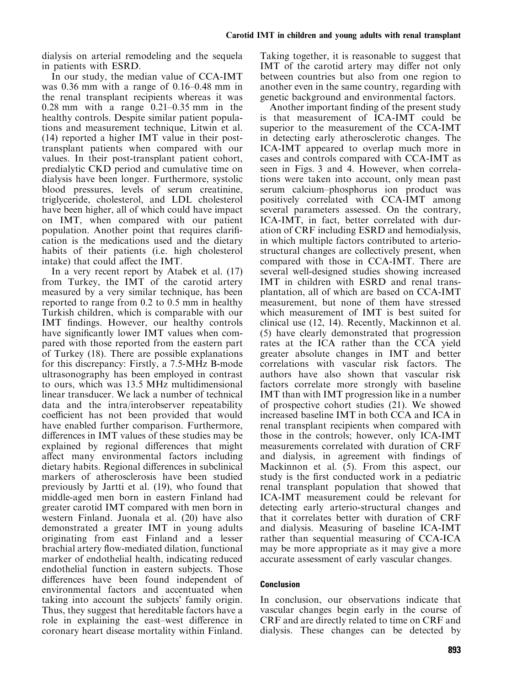dialysis on arterial remodeling and the sequela in patients with ESRD.

In our study, the median value of CCA-IMT was 0.36 mm with a range of 0.16–0.48 mm in the renal transplant recipients whereas it was 0.28 mm with a range  $0.21-0.35$  mm in the healthy controls. Despite similar patient populations and measurement technique, Litwin et al. (14) reported a higher IMT value in their posttransplant patients when compared with our values. In their post-transplant patient cohort, predialytic CKD period and cumulative time on dialysis have been longer. Furthermore, systolic blood pressures, levels of serum creatinine, triglyceride, cholesterol, and LDL cholesterol have been higher, all of which could have impact on IMT, when compared with our patient population. Another point that requires clarification is the medications used and the dietary habits of their patients (i.e. high cholesterol intake) that could affect the IMT.

In a very recent report by Atabek et al. (17) from Turkey, the IMT of the carotid artery measured by a very similar technique, has been reported to range from 0.2 to 0.5 mm in healthy Turkish children, which is comparable with our IMT findings. However, our healthy controls have significantly lower IMT values when compared with those reported from the eastern part of Turkey (18). There are possible explanations for this discrepancy: Firstly, a 7.5-MHz B-mode ultrasonography has been employed in contrast to ours, which was 13.5 MHz multidimensional linear transducer. We lack a number of technical data and the intra/interobserver repeatability coefficient has not been provided that would have enabled further comparison. Furthermore, differences in IMT values of these studies may be explained by regional differences that might affect many environmental factors including dietary habits. Regional differences in subclinical markers of atherosclerosis have been studied previously by Jartti et al. (19), who found that middle-aged men born in eastern Finland had greater carotid IMT compared with men born in western Finland. Juonala et al. (20) have also demonstrated a greater IMT in young adults originating from east Finland and a lesser brachial artery flow-mediated dilation, functional marker of endothelial health, indicating reduced endothelial function in eastern subjects. Those differences have been found independent of environmental factors and accentuated when taking into account the subjects' family origin. Thus, they suggest that hereditable factors have a role in explaining the east–west difference in coronary heart disease mortality within Finland.

Taking together, it is reasonable to suggest that IMT of the carotid artery may differ not only between countries but also from one region to another even in the same country, regarding with genetic background and environmental factors.

Another important finding of the present study is that measurement of ICA-IMT could be superior to the measurement of the CCA-IMT in detecting early atherosclerotic changes. The ICA-IMT appeared to overlap much more in cases and controls compared with CCA-IMT as seen in Figs. 3 and 4. However, when correlations were taken into account, only mean past serum calcium–phosphorus ion product was positively correlated with CCA-IMT among several parameters assessed. On the contrary, ICA-IMT, in fact, better correlated with duration of CRF including ESRD and hemodialysis, in which multiple factors contributed to arteriostructural changes are collectively present, when compared with those in CCA-IMT. There are several well-designed studies showing increased IMT in children with ESRD and renal transplantation, all of which are based on CCA-IMT measurement, but none of them have stressed which measurement of IMT is best suited for clinical use (12, 14). Recently, Mackinnon et al. (5) have clearly demonstrated that progression rates at the ICA rather than the CCA yield greater absolute changes in IMT and better correlations with vascular risk factors. The authors have also shown that vascular risk factors correlate more strongly with baseline IMT than with IMT progression like in a number of prospective cohort studies (21). We showed increased baseline IMT in both CCA and ICA in renal transplant recipients when compared with those in the controls; however, only ICA-IMT measurements correlated with duration of CRF and dialysis, in agreement with findings of Mackinnon et al. (5). From this aspect, our study is the first conducted work in a pediatric renal transplant population that showed that ICA-IMT measurement could be relevant for detecting early arterio-structural changes and that it correlates better with duration of CRF and dialysis. Measuring of baseline ICA-IMT rather than sequential measuring of CCA-ICA may be more appropriate as it may give a more accurate assessment of early vascular changes.

## Conclusion

In conclusion, our observations indicate that vascular changes begin early in the course of CRF and are directly related to time on CRF and dialysis. These changes can be detected by